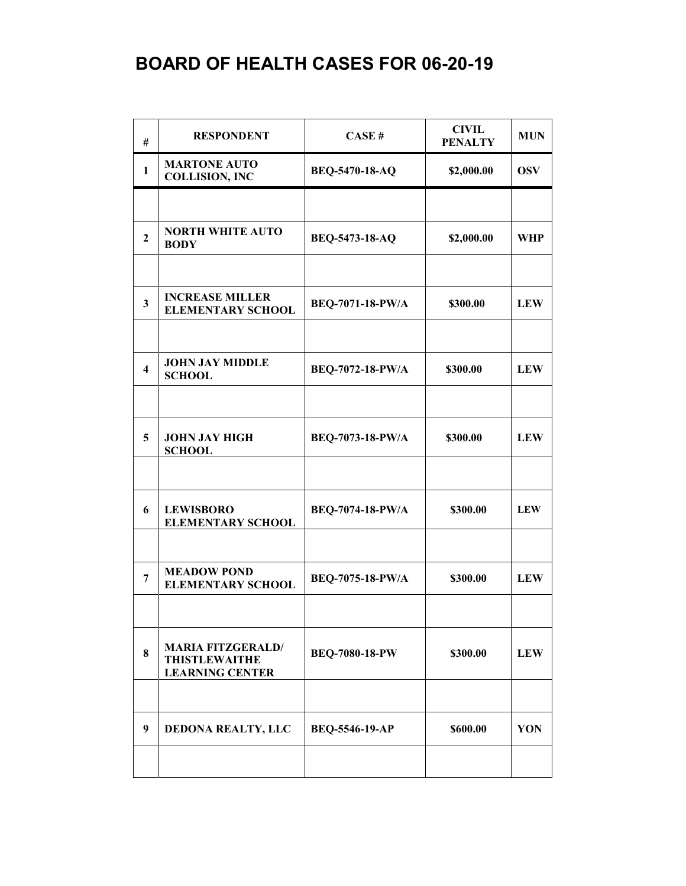| #                       | <b>RESPONDENT</b>                                                          | CASE#                   | <b>CIVIL</b><br><b>PENALTY</b> | <b>MUN</b> |
|-------------------------|----------------------------------------------------------------------------|-------------------------|--------------------------------|------------|
| 1                       | <b>MARTONE AUTO</b><br><b>COLLISION, INC</b>                               | BEQ-5470-18-AQ          | \$2,000.00                     | <b>OSV</b> |
|                         |                                                                            |                         |                                |            |
| $\overline{2}$          | <b>NORTH WHITE AUTO</b><br><b>BODY</b>                                     | BEQ-5473-18-AQ          | \$2,000.00                     | <b>WHP</b> |
|                         |                                                                            |                         |                                |            |
| $\mathbf{3}$            | <b>INCREASE MILLER</b><br><b>ELEMENTARY SCHOOL</b>                         | BEQ-7071-18-PW/A        | \$300.00                       | <b>LEW</b> |
|                         |                                                                            |                         |                                |            |
| $\overline{\mathbf{4}}$ | <b>JOHN JAY MIDDLE</b><br><b>SCHOOL</b>                                    | BEQ-7072-18-PW/A        | \$300.00                       | <b>LEW</b> |
|                         |                                                                            |                         |                                |            |
| 5                       | <b>JOHN JAY HIGH</b><br><b>SCHOOL</b>                                      | BEQ-7073-18-PW/A        | \$300.00                       | <b>LEW</b> |
|                         |                                                                            |                         |                                |            |
| 6                       | <b>LEWISBORO</b><br><b>ELEMENTARY SCHOOL</b>                               | <b>BEQ-7074-18-PW/A</b> | \$300.00                       | <b>LEW</b> |
|                         |                                                                            |                         |                                |            |
| 7                       | <b>MEADOW POND</b><br><b>ELEMENTARY SCHOOL</b>                             | BEQ-7075-18-PW/A        | \$300.00                       | <b>LEW</b> |
|                         |                                                                            |                         |                                |            |
| 8                       | <b>MARIA FITZGERALD/</b><br><b>THISTLEWAITHE</b><br><b>LEARNING CENTER</b> | BEQ-7080-18-PW          | \$300.00                       | <b>LEW</b> |
|                         |                                                                            |                         |                                |            |
| 9                       | DEDONA REALTY, LLC                                                         | BEQ-5546-19-AP          | \$600.00                       | YON        |
|                         |                                                                            |                         |                                |            |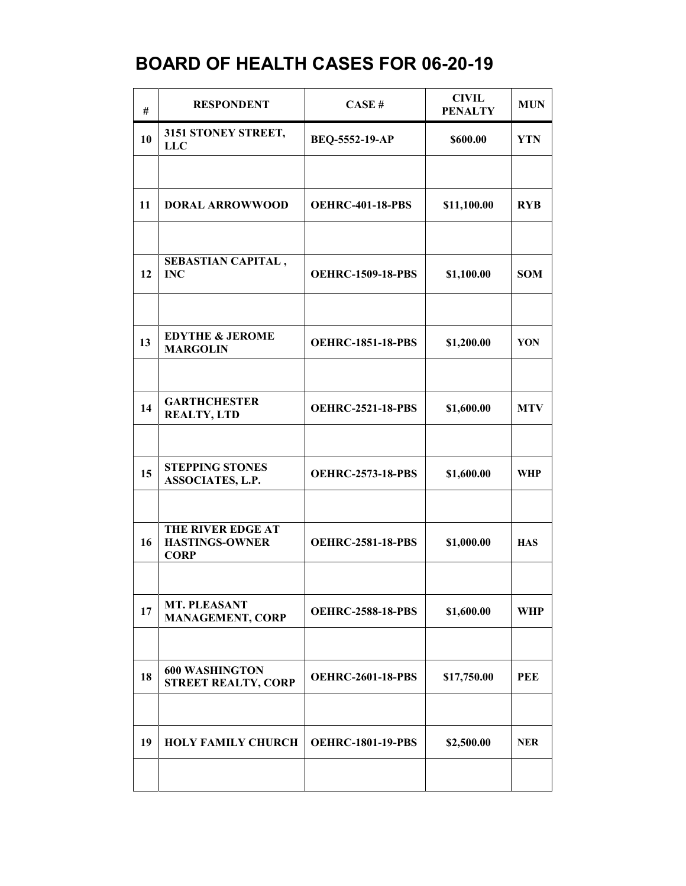| #  | <b>RESPONDENT</b>                                         | CASE#                    | <b>CIVIL</b><br><b>PENALTY</b> | <b>MUN</b> |
|----|-----------------------------------------------------------|--------------------------|--------------------------------|------------|
| 10 | 3151 STONEY STREET,<br><b>LLC</b>                         | BEQ-5552-19-AP           | \$600.00                       | <b>YTN</b> |
|    |                                                           |                          |                                |            |
| 11 | <b>DORAL ARROWWOOD</b>                                    | <b>OEHRC-401-18-PBS</b>  | \$11,100.00                    | <b>RYB</b> |
|    |                                                           |                          |                                |            |
| 12 | SEBASTIAN CAPITAL,<br><b>INC</b>                          | <b>OEHRC-1509-18-PBS</b> | \$1,100.00                     | <b>SOM</b> |
|    |                                                           |                          |                                |            |
| 13 | <b>EDYTHE &amp; JEROME</b><br><b>MARGOLIN</b>             | <b>OEHRC-1851-18-PBS</b> | \$1,200.00                     | YON        |
|    |                                                           |                          |                                |            |
| 14 | <b>GARTHCHESTER</b><br><b>REALTY, LTD</b>                 | <b>OEHRC-2521-18-PBS</b> | \$1,600.00                     | <b>MTV</b> |
|    |                                                           |                          |                                |            |
| 15 | <b>STEPPING STONES</b><br><b>ASSOCIATES, L.P.</b>         | <b>OEHRC-2573-18-PBS</b> | \$1,600.00                     | <b>WHP</b> |
|    |                                                           |                          |                                |            |
| 16 | THE RIVER EDGE AT<br><b>HASTINGS-OWNER</b><br><b>CORP</b> | <b>OEHRC-2581-18-PBS</b> | \$1,000.00                     | <b>HAS</b> |
|    |                                                           |                          |                                |            |
| 17 | <b>MT. PLEASANT</b><br><b>MANAGEMENT, CORP</b>            | <b>OEHRC-2588-18-PBS</b> | \$1,600.00                     | WHP        |
|    |                                                           |                          |                                |            |
| 18 | <b>600 WASHINGTON</b><br><b>STREET REALTY, CORP</b>       | <b>OEHRC-2601-18-PBS</b> | \$17,750.00                    | <b>PEE</b> |
|    |                                                           |                          |                                |            |
| 19 | <b>HOLY FAMILY CHURCH</b>                                 | <b>OEHRC-1801-19-PBS</b> | \$2,500.00                     | <b>NER</b> |
|    |                                                           |                          |                                |            |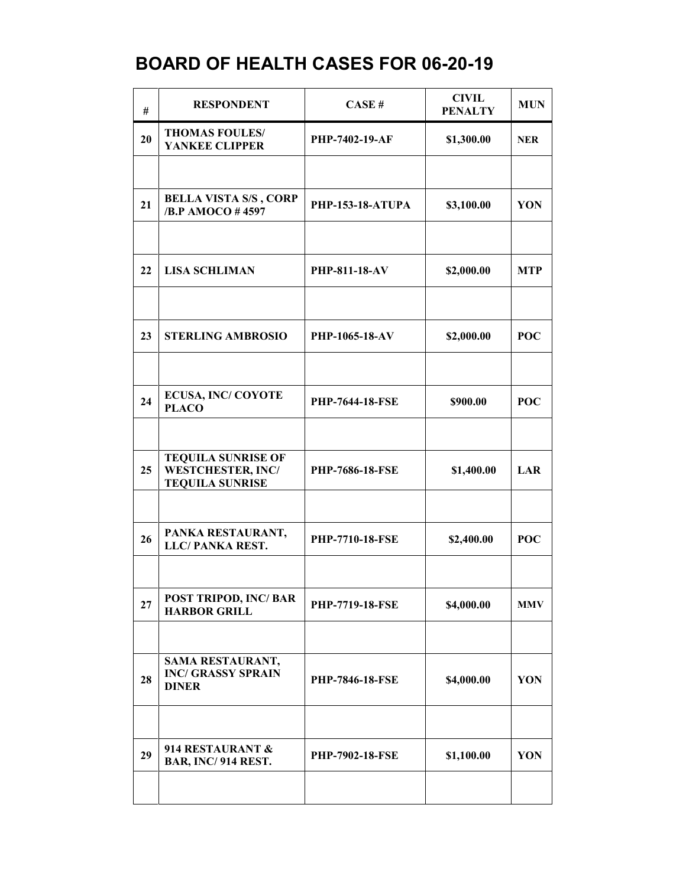| #  | <b>RESPONDENT</b>                                                               | CASE#                   | <b>CIVIL</b><br><b>PENALTY</b> | <b>MUN</b> |
|----|---------------------------------------------------------------------------------|-------------------------|--------------------------------|------------|
| 20 | <b>THOMAS FOULES/</b><br>YANKEE CLIPPER                                         | PHP-7402-19-AF          | \$1,300.00                     | <b>NER</b> |
|    |                                                                                 |                         |                                |            |
| 21 | <b>BELLA VISTA S/S, CORP</b><br>/B.P AMOCO #4597                                | <b>PHP-153-18-ATUPA</b> | \$3,100.00                     | YON        |
|    |                                                                                 |                         |                                |            |
| 22 | <b>LISA SCHLIMAN</b>                                                            | <b>PHP-811-18-AV</b>    | \$2,000.00                     | <b>MTP</b> |
|    |                                                                                 |                         |                                |            |
| 23 | <b>STERLING AMBROSIO</b>                                                        | PHP-1065-18-AV          | \$2,000.00                     | POC        |
|    |                                                                                 |                         |                                |            |
| 24 | <b>ECUSA, INC/COYOTE</b><br><b>PLACO</b>                                        | <b>PHP-7644-18-FSE</b>  | \$900.00                       | POC        |
|    |                                                                                 |                         |                                |            |
| 25 | <b>TEQUILA SUNRISE OF</b><br><b>WESTCHESTER, INC/</b><br><b>TEQUILA SUNRISE</b> | <b>PHP-7686-18-FSE</b>  | \$1,400.00                     | LAR        |
|    |                                                                                 |                         |                                |            |
| 26 | PANKA RESTAURANT,<br><b>LLC/PANKA REST.</b>                                     | PHP-7710-18-FSE         | \$2,400.00                     | <b>POC</b> |
|    |                                                                                 |                         |                                |            |
| 27 | POST TRIPOD, INC/ BAR<br><b>HARBOR GRILL</b>                                    | PHP-7719-18-FSE         | \$4,000.00                     | <b>MMV</b> |
|    |                                                                                 |                         |                                |            |
| 28 | SAMA RESTAURANT,<br><b>INC/ GRASSY SPRAIN</b><br><b>DINER</b>                   | <b>PHP-7846-18-FSE</b>  | \$4,000.00                     | YON        |
|    |                                                                                 |                         |                                |            |
| 29 | 914 RESTAURANT &<br>BAR, INC/914 REST.                                          | <b>PHP-7902-18-FSE</b>  | \$1,100.00                     | YON        |
|    |                                                                                 |                         |                                |            |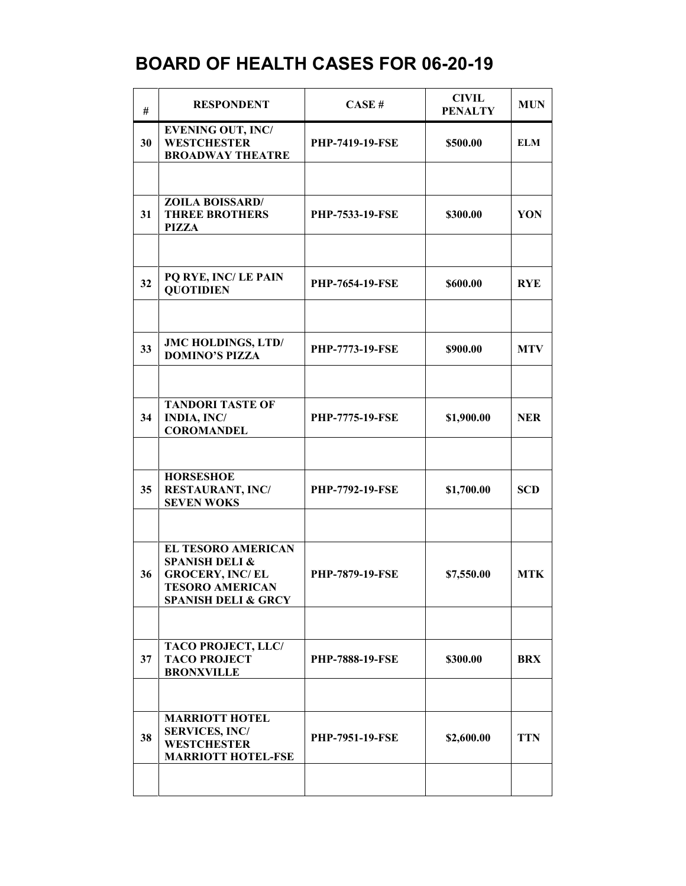| #  | <b>RESPONDENT</b>                                                                                                                            | CASE#                  | <b>CIVIL</b><br><b>PENALTY</b> | <b>MUN</b> |
|----|----------------------------------------------------------------------------------------------------------------------------------------------|------------------------|--------------------------------|------------|
| 30 | <b>EVENING OUT, INC/</b><br><b>WESTCHESTER</b><br><b>BROADWAY THEATRE</b>                                                                    | <b>PHP-7419-19-FSE</b> | \$500.00                       | <b>ELM</b> |
|    |                                                                                                                                              |                        |                                |            |
| 31 | <b>ZOILA BOISSARD/</b><br><b>THREE BROTHERS</b><br><b>PIZZA</b>                                                                              | <b>PHP-7533-19-FSE</b> | \$300.00                       | YON        |
|    |                                                                                                                                              |                        |                                |            |
| 32 | PQ RYE, INC/LE PAIN<br><b>QUOTIDIEN</b>                                                                                                      | <b>PHP-7654-19-FSE</b> | \$600.00                       | <b>RYE</b> |
|    |                                                                                                                                              |                        |                                |            |
| 33 | JMC HOLDINGS, LTD/<br><b>DOMINO'S PIZZA</b>                                                                                                  | <b>PHP-7773-19-FSE</b> | \$900.00                       | <b>MTV</b> |
|    |                                                                                                                                              |                        |                                |            |
| 34 | <b>TANDORI TASTE OF</b><br><b>INDIA, INC/</b><br><b>COROMANDEL</b>                                                                           | <b>PHP-7775-19-FSE</b> | \$1,900.00                     | <b>NER</b> |
|    |                                                                                                                                              |                        |                                |            |
| 35 | <b>HORSESHOE</b><br><b>RESTAURANT, INC/</b><br><b>SEVEN WOKS</b>                                                                             | <b>PHP-7792-19-FSE</b> | \$1,700.00                     | <b>SCD</b> |
|    |                                                                                                                                              |                        |                                |            |
| 36 | <b>EL TESORO AMERICAN</b><br><b>SPANISH DELI &amp;</b><br><b>GROCERY, INC/EL</b><br><b>TESORO AMERICAN</b><br><b>SPANISH DELI &amp; GRCY</b> | <b>PHP-7879-19-FSE</b> | \$7,550.00                     | <b>MTK</b> |
|    |                                                                                                                                              |                        |                                |            |
| 37 | <b>TACO PROJECT, LLC/</b><br><b>TACO PROJECT</b><br><b>BRONXVILLE</b>                                                                        | <b>PHP-7888-19-FSE</b> | \$300.00                       | <b>BRX</b> |
|    |                                                                                                                                              |                        |                                |            |
| 38 | <b>MARRIOTT HOTEL</b><br><b>SERVICES, INC/</b><br><b>WESTCHESTER</b><br><b>MARRIOTT HOTEL-FSE</b>                                            | <b>PHP-7951-19-FSE</b> | \$2,600.00                     | <b>TTN</b> |
|    |                                                                                                                                              |                        |                                |            |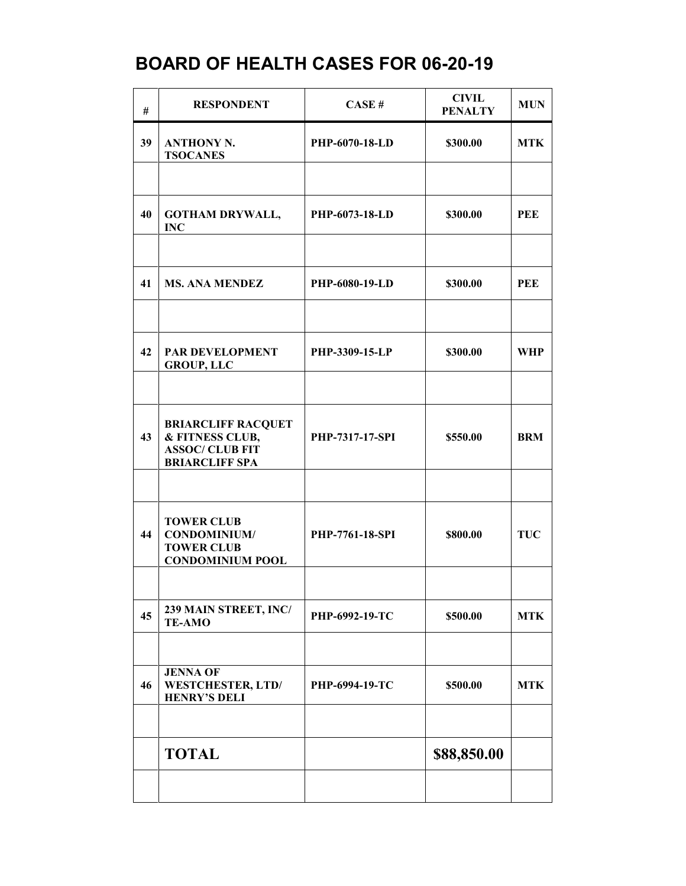| #  | <b>RESPONDENT</b>                                                                               | CASE#                  | <b>CIVIL</b><br><b>PENALTY</b> | <b>MUN</b> |
|----|-------------------------------------------------------------------------------------------------|------------------------|--------------------------------|------------|
| 39 | <b>ANTHONY N.</b><br><b>TSOCANES</b>                                                            | PHP-6070-18-LD         | \$300.00                       | <b>MTK</b> |
|    |                                                                                                 |                        |                                |            |
| 40 | <b>GOTHAM DRYWALL,</b><br><b>INC</b>                                                            | PHP-6073-18-LD         | \$300.00                       | PEE        |
|    |                                                                                                 |                        |                                |            |
| 41 | <b>MS. ANA MENDEZ</b>                                                                           | <b>PHP-6080-19-LD</b>  | \$300.00                       | PEE        |
|    |                                                                                                 |                        |                                |            |
| 42 | PAR DEVELOPMENT<br><b>GROUP, LLC</b>                                                            | PHP-3309-15-LP         | \$300.00                       | <b>WHP</b> |
|    |                                                                                                 |                        |                                |            |
| 43 | <b>BRIARCLIFF RACQUET</b><br>& FITNESS CLUB,<br><b>ASSOC/ CLUB FIT</b><br><b>BRIARCLIFF SPA</b> | PHP-7317-17-SPI        | \$550.00                       | <b>BRM</b> |
|    |                                                                                                 |                        |                                |            |
| 44 | <b>TOWER CLUB</b><br><b>CONDOMINIUM/</b><br><b>TOWER CLUB</b><br><b>CONDOMINIUM POOL</b>        | <b>PHP-7761-18-SPI</b> | \$800.00                       | <b>TUC</b> |
|    |                                                                                                 |                        |                                |            |
| 45 | 239 MAIN STREET, INC/<br><b>TE-AMO</b>                                                          | PHP-6992-19-TC         | \$500.00                       | <b>MTK</b> |
|    | <b>JENNA OF</b>                                                                                 |                        |                                |            |
| 46 | <b>WESTCHESTER, LTD/</b><br><b>HENRY'S DELI</b>                                                 | PHP-6994-19-TC         | \$500.00                       | <b>MTK</b> |
|    |                                                                                                 |                        |                                |            |
|    | <b>TOTAL</b>                                                                                    |                        | \$88,850.00                    |            |
|    |                                                                                                 |                        |                                |            |